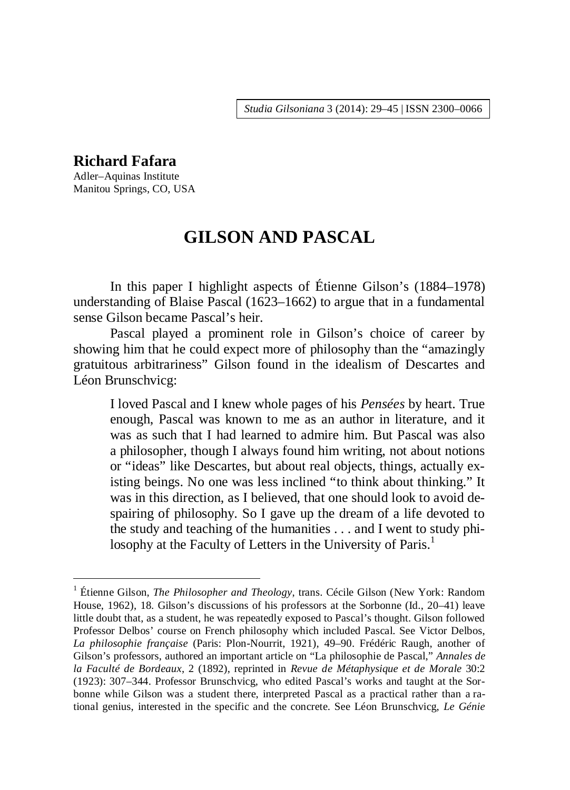*Studia Gilsoniana* 3 (2014): 29–45 | ISSN 2300–0066

# **Richard Fafara**

<u>.</u>

Adler–Aquinas Institute Manitou Springs, CO, USA

# **GILSON AND PASCAL**

In this paper I highlight aspects of Étienne Gilson's (1884–1978) understanding of Blaise Pascal (1623–1662) to argue that in a fundamental sense Gilson became Pascal's heir.

Pascal played a prominent role in Gilson's choice of career by showing him that he could expect more of philosophy than the "amazingly gratuitous arbitrariness" Gilson found in the idealism of Descartes and Léon Brunschvicg:

I loved Pascal and I knew whole pages of his *Pensées* by heart. True enough, Pascal was known to me as an author in literature, and it was as such that I had learned to admire him. But Pascal was also a philosopher, though I always found him writing, not about notions or "ideas" like Descartes, but about real objects, things, actually existing beings. No one was less inclined "to think about thinking." It was in this direction, as I believed, that one should look to avoid despairing of philosophy. So I gave up the dream of a life devoted to the study and teaching of the humanities . . . and I went to study philosophy at the Faculty of Letters in the University of Paris.<sup>1</sup>

<sup>&</sup>lt;sup>1</sup> Étienne Gilson, *The Philosopher and Theology*, trans. Cécile Gilson (New York: Random House, 1962), 18. Gilson's discussions of his professors at the Sorbonne (Id., 20–41) leave little doubt that, as a student, he was repeatedly exposed to Pascal's thought. Gilson followed Professor Delbos' course on French philosophy which included Pascal. See Victor Delbos, *La philosophie française* (Paris: Plon-Nourrit, 1921), 49–90. Frédéric Raugh, another of Gilson's professors, authored an important article on "La philosophie de Pascal," *Annales de la Faculté de Bordeaux*, 2 (1892), reprinted in *Revue de Métaphysique et de Morale* 30:2 (1923): 307–344. Professor Brunschvicg, who edited Pascal's works and taught at the Sorbonne while Gilson was a student there, interpreted Pascal as a practical rather than a rational genius, interested in the specific and the concrete. See Léon Brunschvicg, *Le Génie*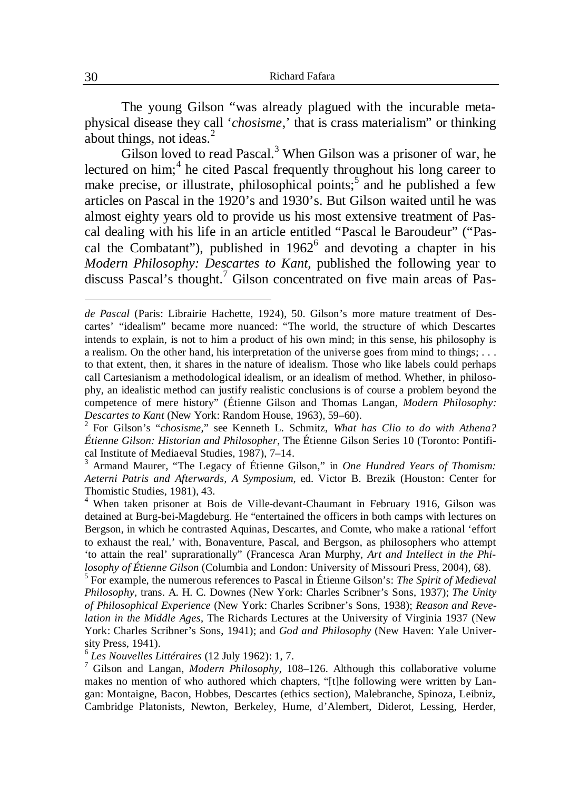The young Gilson "was already plagued with the incurable metaphysical disease they call '*chosisme*,' that is crass materialism" or thinking about things, not ideas.<sup>2</sup>

Gilson loved to read Pascal.<sup>3</sup> When Gilson was a prisoner of war, he lectured on him;<sup>4</sup> he cited Pascal frequently throughout his long career to make precise, or illustrate, philosophical points;<sup>5</sup> and he published a few articles on Pascal in the 1920's and 1930's. But Gilson waited until he was almost eighty years old to provide us his most extensive treatment of Pascal dealing with his life in an article entitled "Pascal le Baroudeur" ("Pascal the Combatant"), published in  $1962^6$  and devoting a chapter in his *Modern Philosophy: Descartes to Kant*, published the following year to discuss Pascal's thought.<sup>7</sup> Gilson concentrated on five main areas of Pas-

3 Armand Maurer, "The Legacy of Étienne Gilson," in *One Hundred Years of Thomism: Aeterni Patris and Afterwards, A Symposium*, ed. Victor B. Brezik (Houston: Center for Thomistic Studies, 1981), 43.

4 When taken prisoner at Bois de Ville-devant-Chaumant in February 1916, Gilson was detained at Burg-bei-Magdeburg. He "entertained the officers in both camps with lectures on Bergson, in which he contrasted Aquinas, Descartes, and Comte, who make a rational 'effort to exhaust the real,' with, Bonaventure, Pascal, and Bergson, as philosophers who attempt 'to attain the real' suprarationally" (Francesca Aran Murphy, *Art and Intellect in the Philosophy of Étienne Gilson* (Columbia and London: University of Missouri Press, 2004), 68).

5 For example, the numerous references to Pascal in Étienne Gilson's: *The Spirit of Medieval Philosophy,* trans. A. H. C. Downes (New York: Charles Scribner's Sons, 1937); *The Unity of Philosophical Experience* (New York: Charles Scribner's Sons, 1938); *Reason and Revelation in the Middle Ages*, The Richards Lectures at the University of Virginia 1937 (New York: Charles Scribner's Sons, 1941); and *God and Philosophy* (New Haven: Yale University Press, 1941).

6 *Les Nouvelles Littéraires* (12 July 1962): 1, 7.

7 Gilson and Langan, *Modern Philosophy*, 108–126. Although this collaborative volume makes no mention of who authored which chapters, "[t]he following were written by Langan: Montaigne, Bacon, Hobbes, Descartes (ethics section), Malebranche, Spinoza, Leibniz, Cambridge Platonists, Newton, Berkeley, Hume, d'Alembert, Diderot, Lessing, Herder,

*de Pascal* (Paris: Librairie Hachette, 1924), 50. Gilson's more mature treatment of Descartes' "idealism" became more nuanced: "The world, the structure of which Descartes intends to explain, is not to him a product of his own mind; in this sense, his philosophy is a realism. On the other hand, his interpretation of the universe goes from mind to things; . . . to that extent, then, it shares in the nature of idealism. Those who like labels could perhaps call Cartesianism a methodological idealism, or an idealism of method. Whether, in philosophy, an idealistic method can justify realistic conclusions is of course a problem beyond the competence of mere history" (Étienne Gilson and Thomas Langan, *Modern Philosophy: Descartes to Kant* (New York: Random House, 1963), 59–60).

<sup>2</sup> For Gilson's "*chosisme*," see Kenneth L. Schmitz, *What has Clio to do with Athena? Étienne Gilson: Historian and Philosopher*, The Étienne Gilson Series 10 (Toronto: Pontifical Institute of Mediaeval Studies, 1987), 7–14.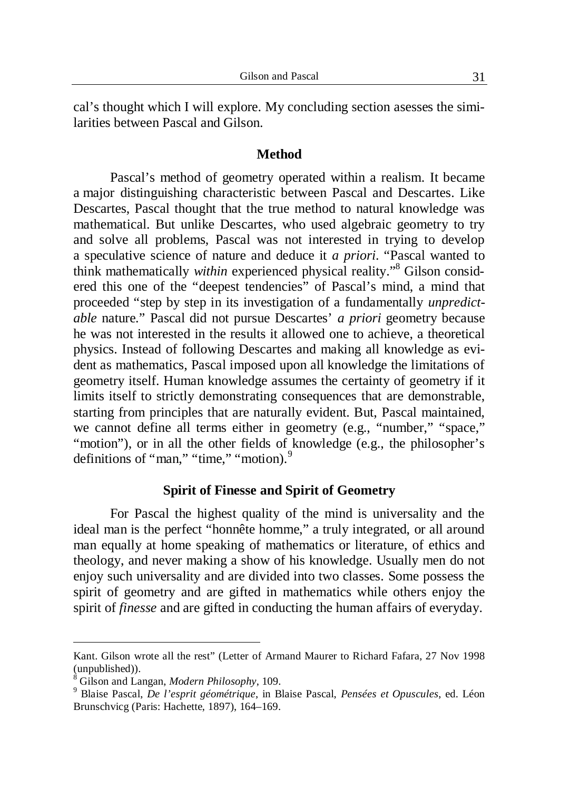cal's thought which I will explore. My concluding section asesses the similarities between Pascal and Gilson.

### **Method**

Pascal's method of geometry operated within a realism. It became a major distinguishing characteristic between Pascal and Descartes. Like Descartes, Pascal thought that the true method to natural knowledge was mathematical. But unlike Descartes, who used algebraic geometry to try and solve all problems, Pascal was not interested in trying to develop a speculative science of nature and deduce it *a priori*. "Pascal wanted to think mathematically within experienced physical reality."<sup>8</sup> Gilson considered this one of the "deepest tendencies" of Pascal's mind, a mind that proceeded "step by step in its investigation of a fundamentally *unpredictable* nature." Pascal did not pursue Descartes' *a priori* geometry because he was not interested in the results it allowed one to achieve, a theoretical physics. Instead of following Descartes and making all knowledge as evident as mathematics, Pascal imposed upon all knowledge the limitations of geometry itself. Human knowledge assumes the certainty of geometry if it limits itself to strictly demonstrating consequences that are demonstrable, starting from principles that are naturally evident. But, Pascal maintained, we cannot define all terms either in geometry (e.g., "number," "space," "motion"), or in all the other fields of knowledge (e.g., the philosopher's definitions of "man," "time," "motion).<sup>9</sup>

### **Spirit of Finesse and Spirit of Geometry**

For Pascal the highest quality of the mind is universality and the ideal man is the perfect "honnête homme," a truly integrated, or all around man equally at home speaking of mathematics or literature, of ethics and theology, and never making a show of his knowledge. Usually men do not enjoy such universality and are divided into two classes. Some possess the spirit of geometry and are gifted in mathematics while others enjoy the spirit of *finesse* and are gifted in conducting the human affairs of everyday.

Kant. Gilson wrote all the rest" (Letter of Armand Maurer to Richard Fafara, 27 Nov 1998 (unpublished)).

<sup>8</sup> Gilson and Langan, *Modern Philosophy*, 109.

<sup>9</sup> Blaise Pascal, *De l'esprit géométrique*, in Blaise Pascal, *Pensées et Opuscules*, ed. Léon Brunschvicg (Paris: Hachette, 1897), 164–169.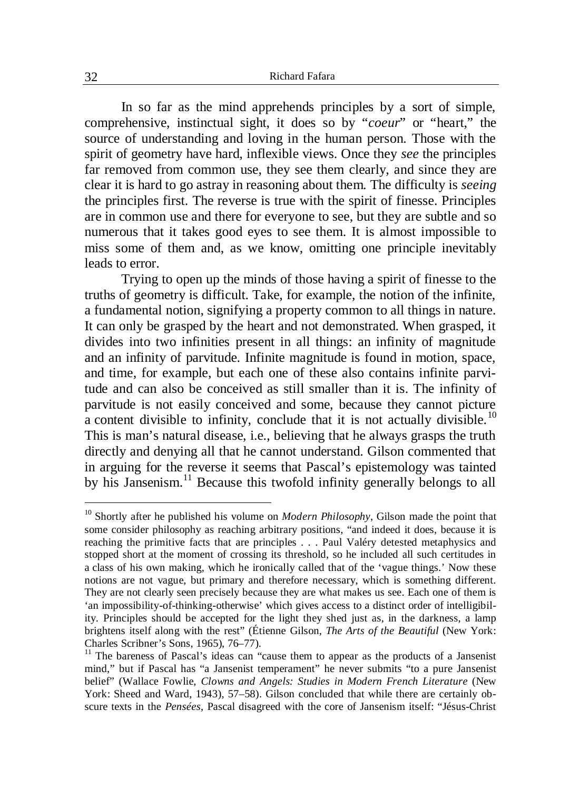In so far as the mind apprehends principles by a sort of simple, comprehensive, instinctual sight, it does so by "*coeur*" or "heart," the source of understanding and loving in the human person. Those with the spirit of geometry have hard, inflexible views. Once they *see* the principles far removed from common use, they see them clearly, and since they are clear it is hard to go astray in reasoning about them. The difficulty is *seeing* the principles first. The reverse is true with the spirit of finesse. Principles are in common use and there for everyone to see, but they are subtle and so numerous that it takes good eyes to see them. It is almost impossible to miss some of them and, as we know, omitting one principle inevitably leads to error.

Trying to open up the minds of those having a spirit of finesse to the truths of geometry is difficult. Take, for example, the notion of the infinite, a fundamental notion, signifying a property common to all things in nature. It can only be grasped by the heart and not demonstrated. When grasped, it divides into two infinities present in all things: an infinity of magnitude and an infinity of parvitude. Infinite magnitude is found in motion, space, and time, for example, but each one of these also contains infinite parvitude and can also be conceived as still smaller than it is. The infinity of parvitude is not easily conceived and some, because they cannot picture a content divisible to infinity, conclude that it is not actually divisible.<sup>10</sup> This is man's natural disease, i.e., believing that he always grasps the truth directly and denying all that he cannot understand. Gilson commented that in arguing for the reverse it seems that Pascal's epistemology was tainted by his Jansenism.<sup>11</sup> Because this twofold infinity generally belongs to all

<sup>&</sup>lt;sup>10</sup> Shortly after he published his volume on *Modern Philosophy*, Gilson made the point that some consider philosophy as reaching arbitrary positions, "and indeed it does, because it is reaching the primitive facts that are principles . . . Paul Valéry detested metaphysics and stopped short at the moment of crossing its threshold, so he included all such certitudes in a class of his own making, which he ironically called that of the 'vague things.' Now these notions are not vague, but primary and therefore necessary, which is something different. They are not clearly seen precisely because they are what makes us see. Each one of them is 'an impossibility-of-thinking-otherwise' which gives access to a distinct order of intelligibility. Principles should be accepted for the light they shed just as, in the darkness, a lamp brightens itself along with the rest" (Étienne Gilson, *The Arts of the Beautiful* (New York: Charles Scribner's Sons, 1965), 76–77).

<sup>&</sup>lt;sup>11</sup> The bareness of Pascal's ideas can "cause them to appear as the products of a Jansenist mind," but if Pascal has "a Jansenist temperament" he never submits "to a pure Jansenist belief" (Wallace Fowlie, *Clowns and Angels: Studies in Modern French Literature* (New York: Sheed and Ward, 1943), 57–58). Gilson concluded that while there are certainly obscure texts in the *Pensées*, Pascal disagreed with the core of Jansenism itself: "Jésus-Christ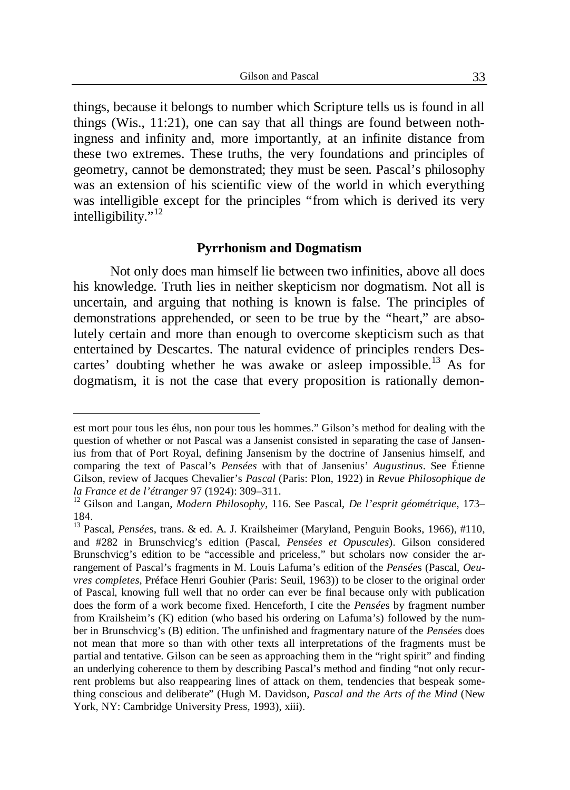things, because it belongs to number which Scripture tells us is found in all things (Wis., 11:21), one can say that all things are found between nothingness and infinity and, more importantly, at an infinite distance from these two extremes. These truths, the very foundations and principles of geometry, cannot be demonstrated; they must be seen. Pascal's philosophy was an extension of his scientific view of the world in which everything was intelligible except for the principles "from which is derived its very intelligibility."<sup>12</sup>

### **Pyrrhonism and Dogmatism**

Not only does man himself lie between two infinities, above all does his knowledge. Truth lies in neither skepticism nor dogmatism. Not all is uncertain, and arguing that nothing is known is false. The principles of demonstrations apprehended, or seen to be true by the "heart," are absolutely certain and more than enough to overcome skepticism such as that entertained by Descartes. The natural evidence of principles renders Descartes' doubting whether he was awake or asleep impossible.<sup>13</sup> As for dogmatism, it is not the case that every proposition is rationally demon-

est mort pour tous les élus, non pour tous les hommes." Gilson's method for dealing with the question of whether or not Pascal was a Jansenist consisted in separating the case of Jansenius from that of Port Royal, defining Jansenism by the doctrine of Jansenius himself, and comparing the text of Pascal's *Pensées* with that of Jansenius' *Augustinus*. See Étienne Gilson, review of Jacques Chevalier's *Pascal* (Paris: Plon, 1922) in *Revue Philosophique de la France et de l'étranger* 97 (1924): 309–311.

<sup>12</sup> Gilson and Langan, *Modern Philosophy*, 116. See Pascal, *De l'esprit géométrique*, 173– 184.

<sup>&</sup>lt;sup>13</sup> Pascal, Pensées, trans. & ed. A. J. Krailsheimer (Maryland, Penguin Books, 1966), #110, and #282 in Brunschvicg's edition (Pascal, *Pensées et Opuscules*). Gilson considered Brunschvicg's edition to be "accessible and priceless," but scholars now consider the arrangement of Pascal's fragments in M. Louis Lafuma's edition of the *Pensée*s (Pascal, *Oeuvres completes*, Préface Henri Gouhier (Paris: Seuil, 1963)) to be closer to the original order of Pascal, knowing full well that no order can ever be final because only with publication does the form of a work become fixed. Henceforth, I cite the *Pensée*s by fragment number from Krailsheim's (K) edition (who based his ordering on Lafuma's) followed by the number in Brunschvicg's (B) edition. The unfinished and fragmentary nature of the *Pensée*s does not mean that more so than with other texts all interpretations of the fragments must be partial and tentative. Gilson can be seen as approaching them in the "right spirit" and finding an underlying coherence to them by describing Pascal's method and finding "not only recurrent problems but also reappearing lines of attack on them, tendencies that bespeak something conscious and deliberate" (Hugh M. Davidson, *Pascal and the Arts of the Mind* (New York, NY: Cambridge University Press, 1993), xiii).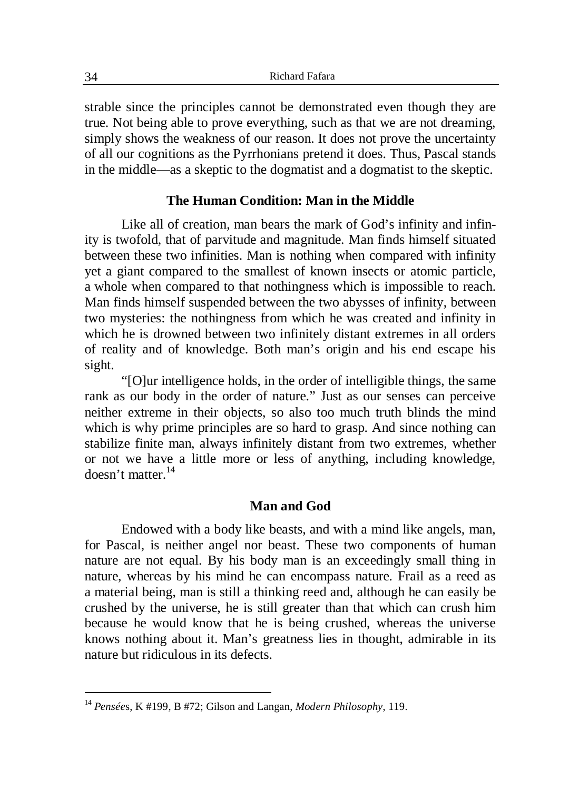strable since the principles cannot be demonstrated even though they are true. Not being able to prove everything, such as that we are not dreaming, simply shows the weakness of our reason. It does not prove the uncertainty of all our cognitions as the Pyrrhonians pretend it does. Thus, Pascal stands in the middle—as a skeptic to the dogmatist and a dogmatist to the skeptic.

## **The Human Condition: Man in the Middle**

Like all of creation, man bears the mark of God's infinity and infinity is twofold, that of parvitude and magnitude. Man finds himself situated between these two infinities. Man is nothing when compared with infinity yet a giant compared to the smallest of known insects or atomic particle, a whole when compared to that nothingness which is impossible to reach. Man finds himself suspended between the two abysses of infinity, between two mysteries: the nothingness from which he was created and infinity in which he is drowned between two infinitely distant extremes in all orders of reality and of knowledge. Both man's origin and his end escape his sight.

"[O]ur intelligence holds, in the order of intelligible things, the same rank as our body in the order of nature." Just as our senses can perceive neither extreme in their objects, so also too much truth blinds the mind which is why prime principles are so hard to grasp. And since nothing can stabilize finite man, always infinitely distant from two extremes, whether or not we have a little more or less of anything, including knowledge, doesn't matter. $14$ 

## **Man and God**

Endowed with a body like beasts, and with a mind like angels, man, for Pascal, is neither angel nor beast. These two components of human nature are not equal. By his body man is an exceedingly small thing in nature, whereas by his mind he can encompass nature. Frail as a reed as a material being, man is still a thinking reed and, although he can easily be crushed by the universe, he is still greater than that which can crush him because he would know that he is being crushed, whereas the universe knows nothing about it. Man's greatness lies in thought, admirable in its nature but ridiculous in its defects.

1

<sup>14</sup> *Pensée*s, K #199, B #72; Gilson and Langan, *Modern Philosophy*, 119.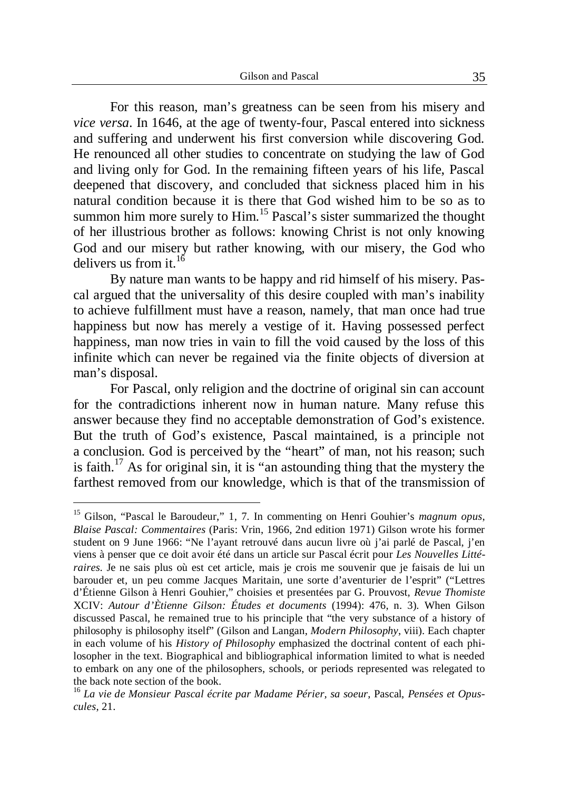For this reason, man's greatness can be seen from his misery and *vice versa*. In 1646, at the age of twenty-four, Pascal entered into sickness and suffering and underwent his first conversion while discovering God. He renounced all other studies to concentrate on studying the law of God and living only for God. In the remaining fifteen years of his life, Pascal deepened that discovery, and concluded that sickness placed him in his natural condition because it is there that God wished him to be so as to summon him more surely to Him.<sup>15</sup> Pascal's sister summarized the thought of her illustrious brother as follows: knowing Christ is not only knowing God and our misery but rather knowing, with our misery, the God who delivers us from it.<sup>16</sup>

By nature man wants to be happy and rid himself of his misery. Pascal argued that the universality of this desire coupled with man's inability to achieve fulfillment must have a reason, namely, that man once had true happiness but now has merely a vestige of it. Having possessed perfect happiness, man now tries in vain to fill the void caused by the loss of this infinite which can never be regained via the finite objects of diversion at man's disposal.

For Pascal, only religion and the doctrine of original sin can account for the contradictions inherent now in human nature. Many refuse this answer because they find no acceptable demonstration of God's existence. But the truth of God's existence, Pascal maintained, is a principle not a conclusion. God is perceived by the "heart" of man, not his reason; such is faith.<sup>17</sup> As for original sin, it is "an astounding thing that the mystery the farthest removed from our knowledge, which is that of the transmission of

<sup>15</sup> Gilson, "Pascal le Baroudeur," 1, 7. In commenting on Henri Gouhier's *magnum opus*, *Blaise Pascal: Commentaires* (Paris: Vrin, 1966, 2nd edition 1971) Gilson wrote his former student on 9 June 1966: "Ne l'ayant retrouvé dans aucun livre où j'ai parlé de Pascal, j'en viens à penser que ce doit avoir été dans un article sur Pascal écrit pour *Les Nouvelles Littéraires*. Je ne sais plus où est cet article, mais je crois me souvenir que je faisais de lui un barouder et, un peu comme Jacques Maritain, une sorte d'aventurier de l'esprit" ("Lettres d'Étienne Gilson à Henri Gouhier," choisies et presentées par G. Prouvost, *Revue Thomiste* XCIV: *Autour d'Ètienne Gilson: Études et documents* (1994): 476, n. 3). When Gilson discussed Pascal, he remained true to his principle that "the very substance of a history of philosophy is philosophy itself" (Gilson and Langan, *Modern Philosophy*, viii). Each chapter in each volume of his *History of Philosophy* emphasized the doctrinal content of each philosopher in the text. Biographical and bibliographical information limited to what is needed to embark on any one of the philosophers, schools, or periods represented was relegated to the back note section of the book.

<sup>16</sup> *La vie de Monsieur Pascal écrite par Madame Périer, sa soeur*, Pascal, *Pensées et Opuscules*, 21.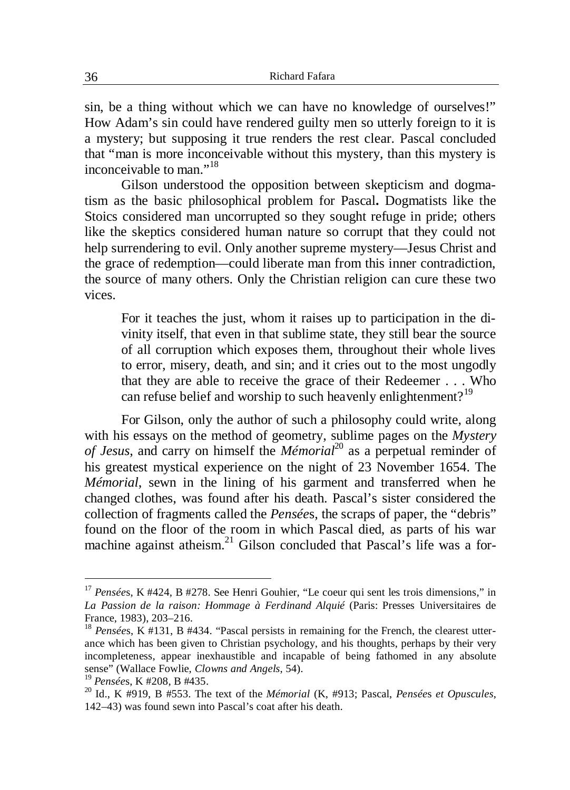sin, be a thing without which we can have no knowledge of ourselves!" How Adam's sin could have rendered guilty men so utterly foreign to it is a mystery; but supposing it true renders the rest clear. Pascal concluded that "man is more inconceivable without this mystery, than this mystery is inconceivable to man."<sup>18</sup>

Gilson understood the opposition between skepticism and dogmatism as the basic philosophical problem for Pascal**.** Dogmatists like the Stoics considered man uncorrupted so they sought refuge in pride; others like the skeptics considered human nature so corrupt that they could not help surrendering to evil. Only another supreme mystery—Jesus Christ and the grace of redemption—could liberate man from this inner contradiction, the source of many others. Only the Christian religion can cure these two vices.

For it teaches the just, whom it raises up to participation in the divinity itself, that even in that sublime state, they still bear the source of all corruption which exposes them, throughout their whole lives to error, misery, death, and sin; and it cries out to the most ungodly that they are able to receive the grace of their Redeemer . . . Who can refuse belief and worship to such heavenly enlightenment?<sup>19</sup>

For Gilson, only the author of such a philosophy could write, along with his essays on the method of geometry, sublime pages on the *Mystery of Jesus*, and carry on himself the *Mémorial*<sup>20</sup> as a perpetual reminder of his greatest mystical experience on the night of 23 November 1654. The *Mémorial*, sewn in the lining of his garment and transferred when he changed clothes, was found after his death. Pascal's sister considered the collection of fragments called the *Pensée*s, the scraps of paper, the "debris" found on the floor of the room in which Pascal died, as parts of his war machine against atheism.<sup>21</sup> Gilson concluded that Pascal's life was a for-

<sup>&</sup>lt;sup>17</sup> Pensées, K #424, B #278. See Henri Gouhier, "Le coeur qui sent les trois dimensions," in *La Passion de la raison: Hommage à Ferdinand Alquié* (Paris: Presses Universitaires de France, 1983), 203–216.

<sup>&</sup>lt;sup>18</sup> *Pensées*, K #131, B #434. "Pascal persists in remaining for the French, the clearest utterance which has been given to Christian psychology, and his thoughts, perhaps by their very incompleteness, appear inexhaustible and incapable of being fathomed in any absolute sense" (Wallace Fowlie, *Clowns and Angels*, 54).

<sup>19</sup> *Pensée*s, K #208, B #435.

<sup>20</sup> Id., K #919, B #553. The text of the *Mémorial* (K, #913; Pascal, *Pensée*s *et Opuscules*, 142–43) was found sewn into Pascal's coat after his death.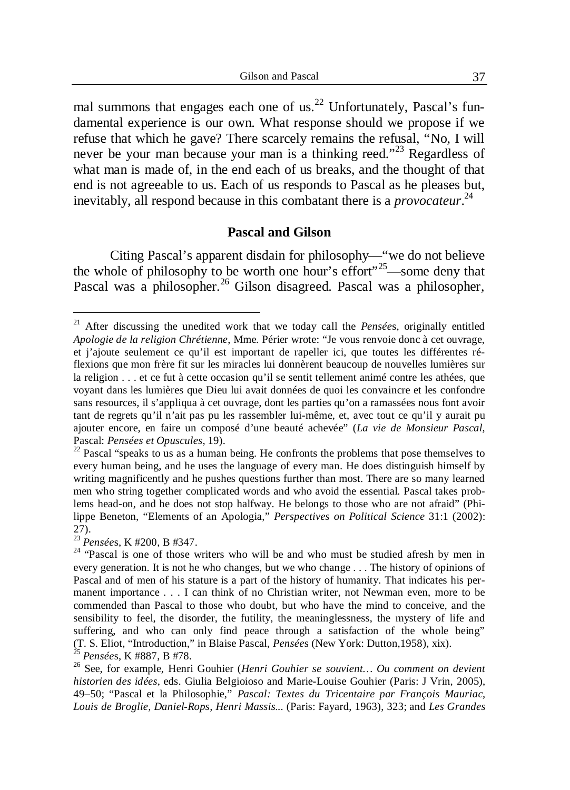mal summons that engages each one of us.<sup>22</sup> Unfortunately, Pascal's fundamental experience is our own. What response should we propose if we refuse that which he gave? There scarcely remains the refusal, "No, I will never be your man because your man is a thinking reed."<sup>23</sup> Regardless of what man is made of, in the end each of us breaks, and the thought of that end is not agreeable to us. Each of us responds to Pascal as he pleases but, inevitably, all respond because in this combatant there is a *provocateur*. 24

### **Pascal and Gilson**

Citing Pascal's apparent disdain for philosophy—"we do not believe the whole of philosophy to be worth one hour's effort"<sup>25</sup>—some deny that Pascal was a philosopher.<sup>26</sup> Gilson disagreed. Pascal was a philosopher,

<sup>21</sup> After discussing the unedited work that we today call the *Pensée*s, originally entitled *Apologie de la religion Chrétienne*, Mme. Périer wrote: "Je vous renvoie donc à cet ouvrage, et j'ajoute seulement ce qu'il est important de rapeller ici, que toutes les différentes réflexions que mon frère fit sur les miracles lui donnèrent beaucoup de nouvelles lumières sur la religion . . . et ce fut à cette occasion qu'il se sentit tellement animé contre les athées, que voyant dans les lumières que Dieu lui avait données de quoi les convaincre et les confondre sans resources, il s'appliqua à cet ouvrage, dont les parties qu'on a ramassées nous font avoir tant de regrets qu'il n'ait pas pu les rassembler lui-même, et, avec tout ce qu'il y aurait pu ajouter encore, en faire un composé d'une beauté achevée" (*La vie de Monsieur Pascal*, Pascal: *Pensées et Opuscules*, 19).

 $22$  Pascal "speaks to us as a human being. He confronts the problems that pose themselves to every human being, and he uses the language of every man. He does distinguish himself by writing magnificently and he pushes questions further than most. There are so many learned men who string together complicated words and who avoid the essential. Pascal takes problems head-on, and he does not stop halfway. He belongs to those who are not afraid" (Philippe Beneton, "Elements of an Apologia," *Perspectives on Political Science* 31:1 (2002): 27).

<sup>23</sup> *Pensée*s, K #200, B #347.

<sup>&</sup>lt;sup>24</sup> "Pascal is one of those writers who will be and who must be studied afresh by men in every generation. It is not he who changes, but we who change . . . The history of opinions of Pascal and of men of his stature is a part of the history of humanity. That indicates his permanent importance . . . I can think of no Christian writer, not Newman even, more to be commended than Pascal to those who doubt, but who have the mind to conceive, and the sensibility to feel, the disorder, the futility, the meaninglessness, the mystery of life and suffering, and who can only find peace through a satisfaction of the whole being" (T. S. Eliot, "Introduction," in Blaise Pascal, *Pensée*s (New York: Dutton,1958), xix). <sup>25</sup> *Pensée*s, K #887, B #78.

<sup>26</sup> See, for example, Henri Gouhier (*Henri Gouhier se souvient… Ou comment on devient historien des idées*, eds. Giulia Belgioioso and Marie-Louise Gouhier (Paris: J Vrin, 2005), 49–50; "Pascal et la Philosophie," *Pascal: Textes du Tricentaire par François Mauriac, Louis de Broglie, Daniel-Rops, Henri Massis...* (Paris: Fayard, 1963), 323; and *Les Grandes*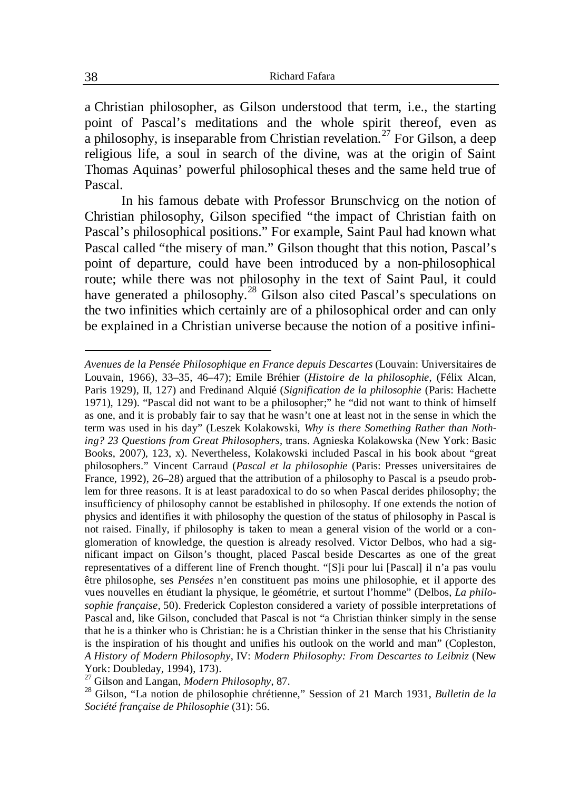a Christian philosopher, as Gilson understood that term, i.e., the starting point of Pascal's meditations and the whole spirit thereof, even as a philosophy, is inseparable from Christian revelation.<sup>27</sup> For Gilson, a deep religious life, a soul in search of the divine, was at the origin of Saint Thomas Aquinas' powerful philosophical theses and the same held true of Pascal.

In his famous debate with Professor Brunschvicg on the notion of Christian philosophy, Gilson specified "the impact of Christian faith on Pascal's philosophical positions." For example, Saint Paul had known what Pascal called "the misery of man." Gilson thought that this notion, Pascal's point of departure, could have been introduced by a non-philosophical route; while there was not philosophy in the text of Saint Paul, it could have generated a philosophy.<sup>28</sup> Gilson also cited Pascal's speculations on the two infinities which certainly are of a philosophical order and can only be explained in a Christian universe because the notion of a positive infini-

*Avenues de la Pensée Philosophique en France depuis Descartes* (Louvain: Universitaires de Louvain, 1966), 33–35, 46–47); Emile Bréhier (*Histoire de la philosophie*, (Félix Alcan, Paris 1929), II, 127) and Fredinand Alquié (*Signification de la philosophie* (Paris: Hachette 1971), 129). "Pascal did not want to be a philosopher;" he "did not want to think of himself as one, and it is probably fair to say that he wasn't one at least not in the sense in which the term was used in his day" (Leszek Kolakowski, *Why is there Something Rather than Nothing? 23 Questions from Great Philosophers*, trans. Agnieska Kolakowska (New York: Basic Books, 2007), 123, x). Nevertheless, Kolakowski included Pascal in his book about "great philosophers." Vincent Carraud (*Pascal et la philosophie* (Paris: Presses universitaires de France, 1992), 26–28) argued that the attribution of a philosophy to Pascal is a pseudo problem for three reasons. It is at least paradoxical to do so when Pascal derides philosophy; the insufficiency of philosophy cannot be established in philosophy. If one extends the notion of physics and identifies it with philosophy the question of the status of philosophy in Pascal is not raised. Finally, if philosophy is taken to mean a general vision of the world or a conglomeration of knowledge, the question is already resolved. Victor Delbos, who had a significant impact on Gilson's thought, placed Pascal beside Descartes as one of the great representatives of a different line of French thought. "[S]i pour lui [Pascal] il n'a pas voulu être philosophe, ses *Pensées* n'en constituent pas moins une philosophie, et il apporte des vues nouvelles en étudiant la physique, le géométrie, et surtout l'homme" (Delbos, *La philosophie française*, 50). Frederick Copleston considered a variety of possible interpretations of Pascal and, like Gilson, concluded that Pascal is not "a Christian thinker simply in the sense that he is a thinker who is Christian: he is a Christian thinker in the sense that his Christianity is the inspiration of his thought and unifies his outlook on the world and man" (Copleston, *A History of Modern Philosophy*, IV: *Modern Philosophy: From Descartes to Leibniz* (New York: Doubleday, 1994), 173).

<sup>27</sup> Gilson and Langan, *Modern Philosophy*, 87.

<sup>28</sup> Gilson, "La notion de philosophie chrétienne," Session of 21 March 1931, *Bulletin de la Société française de Philosophie* (31): 56.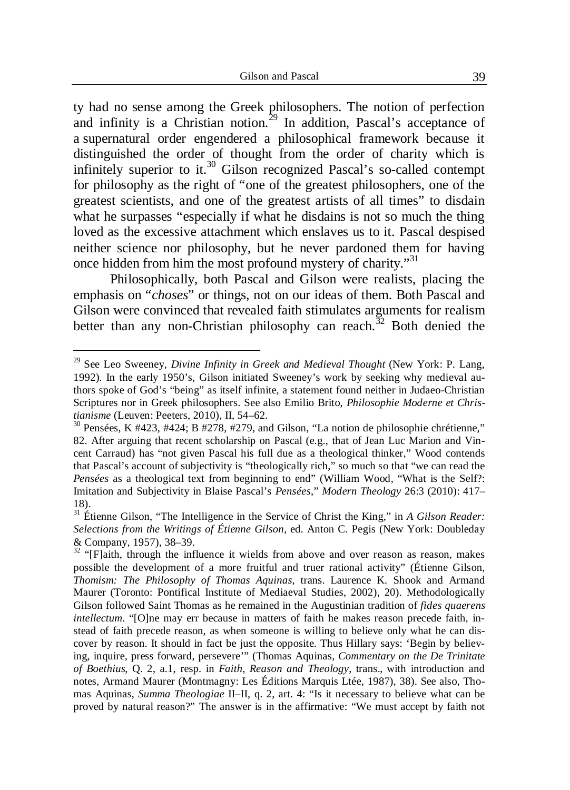ty had no sense among the Greek philosophers. The notion of perfection and infinity is a Christian notion.<sup>29</sup> In addition, Pascal's acceptance of a supernatural order engendered a philosophical framework because it distinguished the order of thought from the order of charity which is infinitely superior to it.<sup>30</sup> Gilson recognized Pascal's so-called contempt for philosophy as the right of "one of the greatest philosophers, one of the greatest scientists, and one of the greatest artists of all times" to disdain what he surpasses "especially if what he disdains is not so much the thing loved as the excessive attachment which enslaves us to it. Pascal despised neither science nor philosophy, but he never pardoned them for having once hidden from him the most profound mystery of charity."<sup>31</sup>

Philosophically, both Pascal and Gilson were realists, placing the emphasis on "*choses*" or things, not on our ideas of them. Both Pascal and Gilson were convinced that revealed faith stimulates arguments for realism better than any non-Christian philosophy can reach.<sup>32</sup> Both denied the

<sup>29</sup> See Leo Sweeney, *Divine Infinity in Greek and Medieval Thought* (New York: P. Lang, 1992). In the early 1950's, Gilson initiated Sweeney's work by seeking why medieval authors spoke of God's "being" as itself infinite, a statement found neither in Judaeo-Christian Scriptures nor in Greek philosophers. See also Emilio Brito, *Philosophie Moderne et Christianisme* (Leuven: Peeters, 2010), II, 54–62.

 $30$  Pensées, K #423, #424; B #278, #279, and Gilson, "La notion de philosophie chrétienne," 82. After arguing that recent scholarship on Pascal (e.g., that of Jean Luc Marion and Vincent Carraud) has "not given Pascal his full due as a theological thinker," Wood contends that Pascal's account of subjectivity is "theologically rich," so much so that "we can read the *Pensées* as a theological text from beginning to end" (William Wood, "What is the Self?: Imitation and Subjectivity in Blaise Pascal's *Pensées*," *Modern Theology* 26:3 (2010): 417– 18).

<sup>&</sup>lt;sup>31</sup> Étienne Gilson, "The Intelligence in the Service of Christ the King," in *A Gilson Reader: Selections from the Writings of Étienne Gilson*, ed. Anton C. Pegis (New York: Doubleday & Company, 1957), 38–39. <sup>32</sup> "[F]aith, through the influence it wields from above and over reason as reason, makes

possible the development of a more fruitful and truer rational activity" (Étienne Gilson, *Thomism: The Philosophy of Thomas Aquinas*, trans. Laurence K. Shook and Armand Maurer (Toronto: Pontifical Institute of Mediaeval Studies, 2002), 20). Methodologically Gilson followed Saint Thomas as he remained in the Augustinian tradition of *fides quaerens intellectum*. "[O]ne may err because in matters of faith he makes reason precede faith, instead of faith precede reason, as when someone is willing to believe only what he can discover by reason. It should in fact be just the opposite. Thus Hillary says: 'Begin by believing, inquire, press forward, persevere'" (Thomas Aquinas, *Commentary on the De Trinitate of Boethius*, Q. 2, a.1, resp. in *Faith, Reason and Theology*, trans., with introduction and notes, Armand Maurer (Montmagny: Les Éditions Marquis Ltée, 1987), 38). See also, Thomas Aquinas, *Summa Theologiae* II–II, q. 2, art. 4: "Is it necessary to believe what can be proved by natural reason?" The answer is in the affirmative: "We must accept by faith not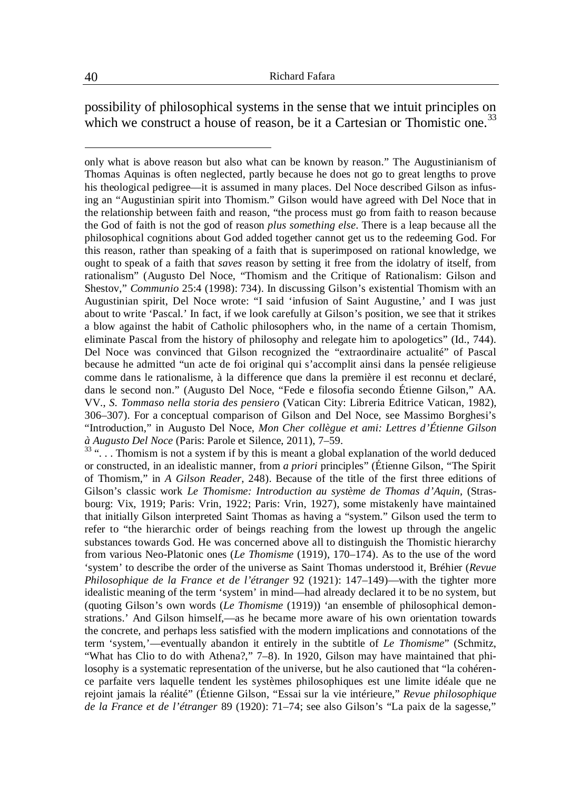possibility of philosophical systems in the sense that we intuit principles on which we construct a house of reason, be it a Cartesian or Thomistic one.<sup>33</sup>

<sup>33</sup> "... Thomism is not a system if by this is meant a global explanation of the world deduced or constructed, in an idealistic manner, from *a priori* principles" (Étienne Gilson, "The Spirit of Thomism," in *A Gilson Reader*, 248). Because of the title of the first three editions of Gilson's classic work *Le Thomisme: Introduction au système de Thomas d'Aquin*, (Strasbourg: Vix, 1919; Paris: Vrin, 1922; Paris: Vrin, 1927), some mistakenly have maintained that initially Gilson interpreted Saint Thomas as having a "system." Gilson used the term to refer to "the hierarchic order of beings reaching from the lowest up through the angelic substances towards God. He was concerned above all to distinguish the Thomistic hierarchy from various Neo-Platonic ones (*Le Thomisme* (1919), 170–174). As to the use of the word 'system' to describe the order of the universe as Saint Thomas understood it, Bréhier (*Revue Philosophique de la France et de l'étranger* 92 (1921): 147–149)—with the tighter more idealistic meaning of the term 'system' in mind—had already declared it to be no system, but (quoting Gilson's own words (*Le Thomisme* (1919)) 'an ensemble of philosophical demonstrations.' And Gilson himself,—as he became more aware of his own orientation towards the concrete, and perhaps less satisfied with the modern implications and connotations of the term 'system,'—eventually abandon it entirely in the subtitle of *Le Thomisme*" (Schmitz, "What has Clio to do with Athena?," 7–8). In 1920, Gilson may have maintained that philosophy is a systematic representation of the universe, but he also cautioned that "la cohérence parfaite vers laquelle tendent les systèmes philosophiques est une limite idéale que ne rejoint jamais la réalité" (Étienne Gilson, "Essai sur la vie intérieure," *Revue philosophique de la France et de l'étranger* 89 (1920): 71–74; see also Gilson's "La paix de la sagesse,"

only what is above reason but also what can be known by reason." The Augustinianism of Thomas Aquinas is often neglected, partly because he does not go to great lengths to prove his theological pedigree—it is assumed in many places. Del Noce described Gilson as infusing an "Augustinian spirit into Thomism." Gilson would have agreed with Del Noce that in the relationship between faith and reason, "the process must go from faith to reason because the God of faith is not the god of reason *plus something else*. There is a leap because all the philosophical cognitions about God added together cannot get us to the redeeming God. For this reason, rather than speaking of a faith that is superimposed on rational knowledge, we ought to speak of a faith that *saves* reason by setting it free from the idolatry of itself, from rationalism" (Augusto Del Noce, "Thomism and the Critique of Rationalism: Gilson and Shestov," *Communio* 25:4 (1998): 734). In discussing Gilson's existential Thomism with an Augustinian spirit, Del Noce wrote: "I said 'infusion of Saint Augustine,' and I was just about to write 'Pascal.' In fact, if we look carefully at Gilson's position, we see that it strikes a blow against the habit of Catholic philosophers who, in the name of a certain Thomism, eliminate Pascal from the history of philosophy and relegate him to apologetics" (Id., 744). Del Noce was convinced that Gilson recognized the "extraordinaire actualité" of Pascal because he admitted "un acte de foi original qui s'accomplit ainsi dans la pensée religieuse comme dans le rationalisme, à la difference que dans la première il est reconnu et declaré, dans le second non." (Augusto Del Noce, "Fede e filosofia secondo Étienne Gilson," AA. VV., *S. Tommaso nella storia des pensiero* (Vatican City: Libreria Editrice Vatican, 1982), 306–307). For a conceptual comparison of Gilson and Del Noce, see Massimo Borghesi's "Introduction," in Augusto Del Noce, *Mon Cher collègue et ami: Lettres d'Étienne Gilson à Augusto Del Noce* (Paris: Parole et Silence, 2011), 7–59.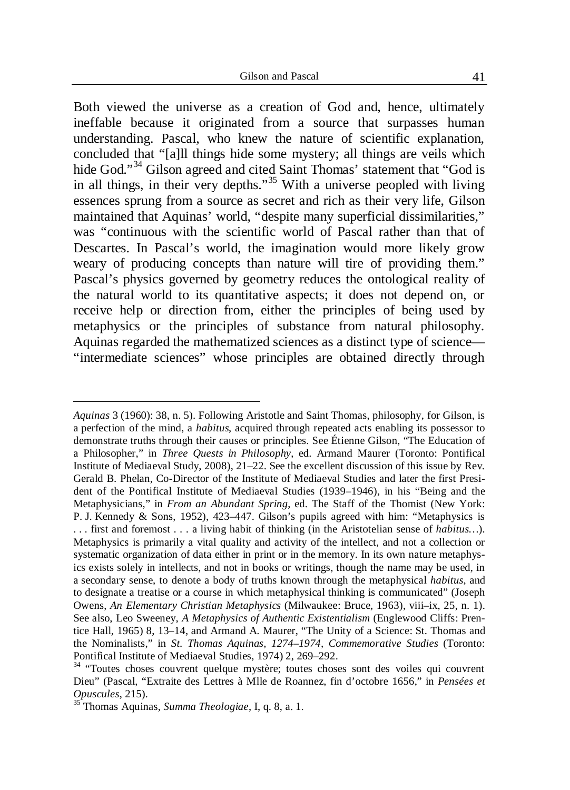Both viewed the universe as a creation of God and, hence, ultimately ineffable because it originated from a source that surpasses human understanding. Pascal, who knew the nature of scientific explanation, concluded that "[a]ll things hide some mystery; all things are veils which hide God."<sup>34</sup> Gilson agreed and cited Saint Thomas' statement that "God is in all things, in their very depths."<sup>35</sup> With a universe peopled with living essences sprung from a source as secret and rich as their very life, Gilson maintained that Aquinas' world, "despite many superficial dissimilarities," was "continuous with the scientific world of Pascal rather than that of Descartes. In Pascal's world, the imagination would more likely grow weary of producing concepts than nature will tire of providing them." Pascal's physics governed by geometry reduces the ontological reality of the natural world to its quantitative aspects; it does not depend on, or receive help or direction from, either the principles of being used by metaphysics or the principles of substance from natural philosophy. Aquinas regarded the mathematized sciences as a distinct type of science— "intermediate sciences" whose principles are obtained directly through

*Aquinas* 3 (1960): 38, n. 5). Following Aristotle and Saint Thomas, philosophy, for Gilson, is a perfection of the mind, a *habitus*, acquired through repeated acts enabling its possessor to demonstrate truths through their causes or principles. See Étienne Gilson, "The Education of a Philosopher," in *Three Quests in Philosophy*, ed. Armand Maurer (Toronto: Pontifical Institute of Mediaeval Study, 2008), 21–22. See the excellent discussion of this issue by Rev. Gerald B. Phelan, Co-Director of the Institute of Mediaeval Studies and later the first President of the Pontifical Institute of Mediaeval Studies (1939–1946), in his "Being and the Metaphysicians," in *From an Abundant Spring*, ed. The Staff of the Thomist (New York: P. J. Kennedy & Sons, 1952), 423–447. Gilson's pupils agreed with him: "Metaphysics is . . . first and foremost . . . a living habit of thinking (in the Aristotelian sense of *habitus…*). Metaphysics is primarily a vital quality and activity of the intellect, and not a collection or systematic organization of data either in print or in the memory. In its own nature metaphysics exists solely in intellects, and not in books or writings, though the name may be used, in a secondary sense, to denote a body of truths known through the metaphysical *habitus*, and to designate a treatise or a course in which metaphysical thinking is communicated" (Joseph Owens, *An Elementary Christian Metaphysics* (Milwaukee: Bruce, 1963), viii–ix, 25, n. 1). See also, Leo Sweeney, *A Metaphysics of Authentic Existentialism* (Englewood Cliffs: Prentice Hall, 1965) 8, 13–14, and Armand A. Maurer, "The Unity of a Science: St. Thomas and the Nominalists," in *St. Thomas Aquinas, 1274–1974, Commemorative Studies* (Toronto: Pontifical Institute of Mediaeval Studies, 1974) 2, 269–292.

<sup>&</sup>lt;sup>34</sup> "Toutes choses couvrent quelque mystère; toutes choses sont des voiles qui couvrent Dieu" (Pascal, "Extraite des Lettres à Mlle de Roannez, fin d'octobre 1656," in *Pensées et Opuscules*, 215).

<sup>35</sup> Thomas Aquinas, *Summa Theologiae*, I, q. 8, a. 1.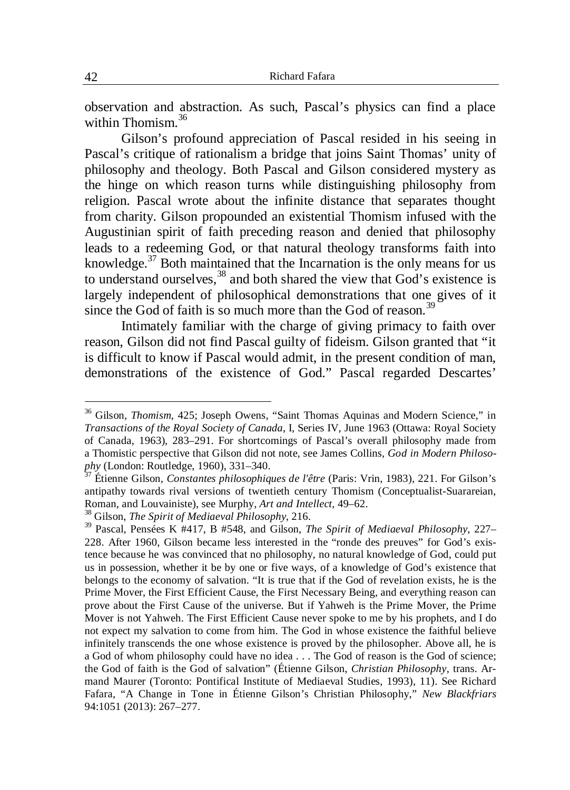observation and abstraction. As such, Pascal's physics can find a place within Thomism.<sup>36</sup>

Gilson's profound appreciation of Pascal resided in his seeing in Pascal's critique of rationalism a bridge that joins Saint Thomas' unity of philosophy and theology. Both Pascal and Gilson considered mystery as the hinge on which reason turns while distinguishing philosophy from religion. Pascal wrote about the infinite distance that separates thought from charity. Gilson propounded an existential Thomism infused with the Augustinian spirit of faith preceding reason and denied that philosophy leads to a redeeming God, or that natural theology transforms faith into knowledge. $37$  Both maintained that the Incarnation is the only means for us to understand ourselves,<sup>38</sup> and both shared the view that God's existence is largely independent of philosophical demonstrations that one gives of it since the God of faith is so much more than the God of reason.<sup>39</sup>

Intimately familiar with the charge of giving primacy to faith over reason, Gilson did not find Pascal guilty of fideism. Gilson granted that "it is difficult to know if Pascal would admit, in the present condition of man, demonstrations of the existence of God." Pascal regarded Descartes'

<sup>&</sup>lt;sup>36</sup> Gilson, *Thomism*, 425; Joseph Owens, "Saint Thomas Aquinas and Modern Science," in *Transactions of the Royal Society of Canada*, I, Series IV, June 1963 (Ottawa: Royal Society of Canada, 1963), 283–291. For shortcomings of Pascal's overall philosophy made from a Thomistic perspective that Gilson did not note, see James Collins, *God in Modern Philosophy* (London: Routledge, 1960), 331–340.

<sup>37</sup> Étienne Gilson, *Constantes philosophiques de l'être* (Paris: Vrin, 1983), 221. For Gilson's antipathy towards rival versions of twentieth century Thomism (Conceptualist-Suarareian, Roman, and Louvainiste), see Murphy, *Art and Intellect*, 49–62.

<sup>38</sup> Gilson, *The Spirit of Mediaeval Philosophy*, 216.

<sup>39</sup> Pascal, Pensées K #417, B #548, and Gilson, *The Spirit of Mediaeval Philosophy*, 227– 228. After 1960, Gilson became less interested in the "ronde des preuves" for God's existence because he was convinced that no philosophy, no natural knowledge of God, could put us in possession, whether it be by one or five ways, of a knowledge of God's existence that belongs to the economy of salvation. "It is true that if the God of revelation exists, he is the Prime Mover, the First Efficient Cause, the First Necessary Being, and everything reason can prove about the First Cause of the universe. But if Yahweh is the Prime Mover, the Prime Mover is not Yahweh. The First Efficient Cause never spoke to me by his prophets, and I do not expect my salvation to come from him. The God in whose existence the faithful believe infinitely transcends the one whose existence is proved by the philosopher. Above all, he is a God of whom philosophy could have no idea . . . The God of reason is the God of science; the God of faith is the God of salvation" (Étienne Gilson, *Christian Philosophy*, trans. Armand Maurer (Toronto: Pontifical Institute of Mediaeval Studies, 1993), 11). See Richard Fafara, "A Change in Tone in Étienne Gilson's Christian Philosophy," *New Blackfriars* 94:1051 (2013): 267–277.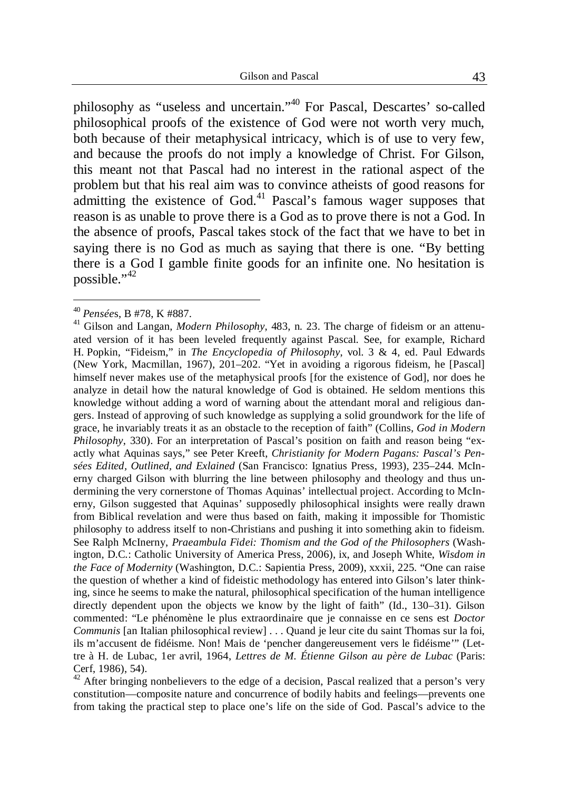philosophy as "useless and uncertain."<sup>40</sup> For Pascal, Descartes' so-called philosophical proofs of the existence of God were not worth very much, both because of their metaphysical intricacy, which is of use to very few, and because the proofs do not imply a knowledge of Christ. For Gilson, this meant not that Pascal had no interest in the rational aspect of the problem but that his real aim was to convince atheists of good reasons for admitting the existence of God.<sup>41</sup> Pascal's famous wager supposes that reason is as unable to prove there is a God as to prove there is not a God. In the absence of proofs, Pascal takes stock of the fact that we have to bet in saying there is no God as much as saying that there is one. "By betting there is a God I gamble finite goods for an infinite one. No hesitation is possible."<sup>42</sup>

<sup>40</sup> *Pensée*s, B #78, K #887.

<sup>41</sup> Gilson and Langan, *Modern Philosophy*, 483, n. 23. The charge of fideism or an attenuated version of it has been leveled frequently against Pascal. See, for example, Richard H. Popkin, "Fideism," in *The Encyclopedia of Philosophy*, vol. 3 & 4, ed. Paul Edwards (New York, Macmillan, 1967), 201–202. "Yet in avoiding a rigorous fideism, he [Pascal] himself never makes use of the metaphysical proofs [for the existence of God], nor does he analyze in detail how the natural knowledge of God is obtained. He seldom mentions this knowledge without adding a word of warning about the attendant moral and religious dangers. Instead of approving of such knowledge as supplying a solid groundwork for the life of grace, he invariably treats it as an obstacle to the reception of faith" (Collins, *God in Modern Philosophy*, 330). For an interpretation of Pascal's position on faith and reason being "exactly what Aquinas says," see Peter Kreeft, *Christianity for Modern Pagans: Pascal's Pensées Edited, Outlined, and Exlained* (San Francisco: Ignatius Press, 1993), 235–244. McInerny charged Gilson with blurring the line between philosophy and theology and thus undermining the very cornerstone of Thomas Aquinas' intellectual project. According to McInerny, Gilson suggested that Aquinas' supposedly philosophical insights were really drawn from Biblical revelation and were thus based on faith, making it impossible for Thomistic philosophy to address itself to non-Christians and pushing it into something akin to fideism. See Ralph McInerny, *Praeambula Fidei: Thomism and the God of the Philosophers* (Washington, D.C.: Catholic University of America Press, 2006), ix, and Joseph White, *Wisdom in the Face of Modernity* (Washington, D.C.: Sapientia Press, 2009), xxxii, 225. "One can raise the question of whether a kind of fideistic methodology has entered into Gilson's later thinking, since he seems to make the natural, philosophical specification of the human intelligence directly dependent upon the objects we know by the light of faith" (Id., 130–31). Gilson commented: "Le phénomène le plus extraordinaire que je connaisse en ce sens est *Doctor Communis* [an Italian philosophical review] . . . Quand je leur cite du saint Thomas sur la foi, ils m'accusent de fidéisme. Non! Mais de 'pencher dangereusement vers le fidéisme'" (Lettre à H. de Lubac, 1er avril, 1964, *Lettres de M. Étienne Gilson au père de Lubac* (Paris: Cerf, 1986), 54).

 $42$  After bringing nonbelievers to the edge of a decision, Pascal realized that a person's very constitution—composite nature and concurrence of bodily habits and feelings—prevents one from taking the practical step to place one's life on the side of God. Pascal's advice to the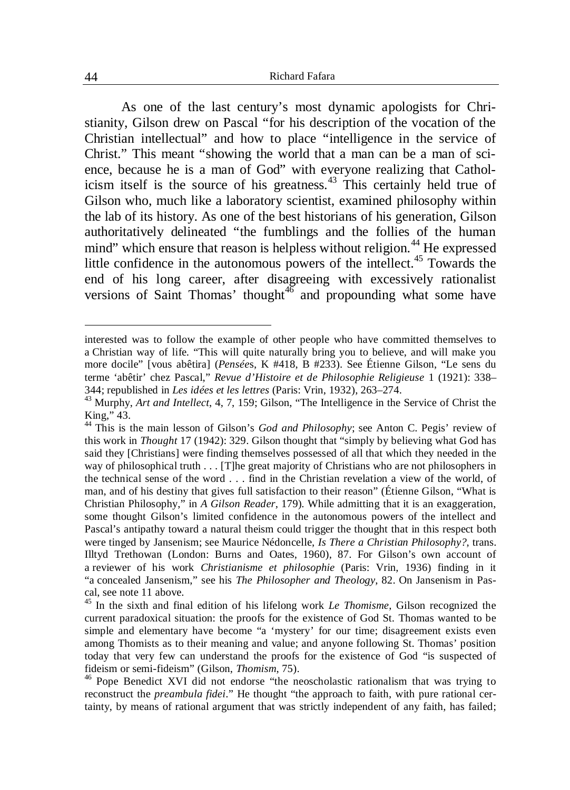As one of the last century's most dynamic apologists for Christianity, Gilson drew on Pascal "for his description of the vocation of the Christian intellectual" and how to place "intelligence in the service of Christ." This meant "showing the world that a man can be a man of science, because he is a man of God" with everyone realizing that Catholicism itself is the source of his greatness.<sup>43</sup> This certainly held true of Gilson who, much like a laboratory scientist, examined philosophy within the lab of its history. As one of the best historians of his generation, Gilson authoritatively delineated "the fumblings and the follies of the human mind" which ensure that reason is helpless without religion.<sup>44</sup> He expressed little confidence in the autonomous powers of the intellect.<sup>45</sup> Towards the end of his long career, after disagreeing with excessively rationalist versions of Saint Thomas' thought<sup>46</sup> and propounding what some have

interested was to follow the example of other people who have committed themselves to a Christian way of life. "This will quite naturally bring you to believe, and will make you more docile" [vous abêtira] (*Pensée*s, K #418, B #233). See Étienne Gilson, "Le sens du terme 'abêtir' chez Pascal," *Revue d'Histoire et de Philosophie Religieuse* 1 (1921): 338– 344; republished in *Les idées et les lettres* (Paris: Vrin, 1932), 263–274.

<sup>43</sup> Murphy, *Art and Intellect*, 4, 7, 159; Gilson, "The Intelligence in the Service of Christ the King," 43.

<sup>44</sup> This is the main lesson of Gilson's *God and Philosophy*; see Anton C. Pegis' review of this work in *Thought* 17 (1942): 329. Gilson thought that "simply by believing what God has said they [Christians] were finding themselves possessed of all that which they needed in the way of philosophical truth . . . [T]he great majority of Christians who are not philosophers in the technical sense of the word . . . find in the Christian revelation a view of the world, of man, and of his destiny that gives full satisfaction to their reason" (Étienne Gilson, "What is Christian Philosophy," in *A Gilson Reader*, 179). While admitting that it is an exaggeration, some thought Gilson's limited confidence in the autonomous powers of the intellect and Pascal's antipathy toward a natural theism could trigger the thought that in this respect both were tinged by Jansenism; see Maurice Nédoncelle, *Is There a Christian Philosophy?*, trans. Illtyd Trethowan (London: Burns and Oates, 1960), 87. For Gilson's own account of a reviewer of his work *Christianisme et philosophie* (Paris: Vrin, 1936) finding in it "a concealed Jansenism," see his *The Philosopher and Theology*, 82. On Jansenism in Pascal, see note 11 above.

<sup>45</sup> In the sixth and final edition of his lifelong work *Le Thomisme*, Gilson recognized the current paradoxical situation: the proofs for the existence of God St. Thomas wanted to be simple and elementary have become "a 'mystery' for our time; disagreement exists even among Thomists as to their meaning and value; and anyone following St. Thomas' position today that very few can understand the proofs for the existence of God "is suspected of fideism or semi-fideism" (Gilson, *Thomism*, 75).

<sup>46</sup> Pope Benedict XVI did not endorse "the neoscholastic rationalism that was trying to reconstruct the *preambula fidei*." He thought "the approach to faith, with pure rational certainty, by means of rational argument that was strictly independent of any faith, has failed;